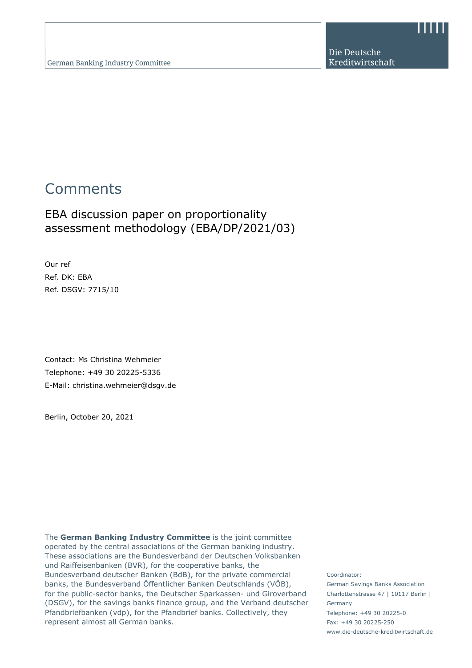Die Deutsche Kreditwirtschaft

# **Comments**

# EBA discussion paper on proportionality assessment methodology (EBA/DP/2021/03)

Our ref Ref. DK: EBA Ref. DSGV: 7715/10

Contact: Ms Christina Wehmeier Telephone: +49 30 20225-5336 E-Mail: christina.wehmeier@dsgv.de

Berlin, October 20, 2021

The **German Banking Industry Committee** is the joint committee operated by the central associations of the German banking industry. These associations are the Bundesverband der Deutschen Volksbanken und Raiffeisenbanken (BVR), for the cooperative banks, the Bundesverband deutscher Banken (BdB), for the private commercial banks, the Bundesverband Öffentlicher Banken Deutschlands (VÖB), for the public-sector banks, the Deutscher Sparkassen- und Giroverband (DSGV), for the savings banks finance group, and the Verband deutscher Pfandbriefbanken (vdp), for the Pfandbrief banks. Collectively, they represent almost all German banks.

Coordinator: German Savings Banks Association Charlottenstrasse 47 | 10117 Berlin | Germany Telephone: +49 30 20225-0 Fax: +49 30 20225-250 www.die-deutsche-kreditwirtschaft.de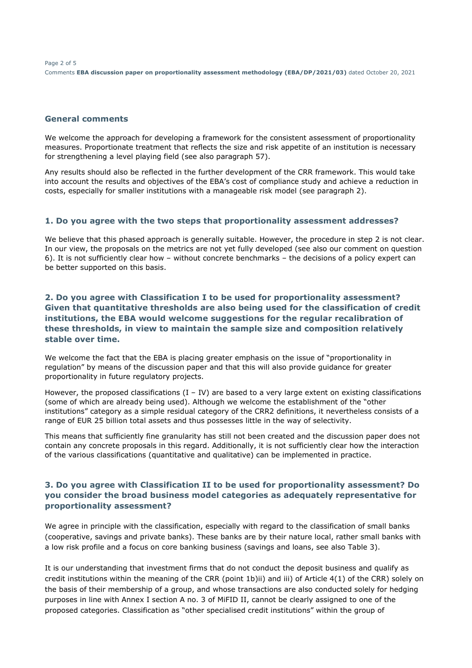Page 2 of 5 Comments **EBA discussion paper on proportionality assessment methodology (EBA/DP/2021/03)** dated October 20, 2021

#### **General comments**

We welcome the approach for developing a framework for the consistent assessment of proportionality measures. Proportionate treatment that reflects the size and risk appetite of an institution is necessary for strengthening a level playing field (see also paragraph 57).

Any results should also be reflected in the further development of the CRR framework. This would take into account the results and objectives of the EBA's cost of compliance study and achieve a reduction in costs, especially for smaller institutions with a manageable risk model (see paragraph 2).

#### **1. Do you agree with the two steps that proportionality assessment addresses?**

We believe that this phased approach is generally suitable. However, the procedure in step 2 is not clear. In our view, the proposals on the metrics are not yet fully developed (see also our comment on question 6). It is not sufficiently clear how – without concrete benchmarks – the decisions of a policy expert can be better supported on this basis.

#### **2. Do you agree with Classification I to be used for proportionality assessment? Given that quantitative thresholds are also being used for the classification of credit institutions, the EBA would welcome suggestions for the regular recalibration of these thresholds, in view to maintain the sample size and composition relatively stable over time.**

We welcome the fact that the EBA is placing greater emphasis on the issue of "proportionality in regulation" by means of the discussion paper and that this will also provide guidance for greater proportionality in future regulatory projects.

However, the proposed classifications  $(I - IV)$  are based to a very large extent on existing classifications (some of which are already being used). Although we welcome the establishment of the "other institutions" category as a simple residual category of the CRR2 definitions, it nevertheless consists of a range of EUR 25 billion total assets and thus possesses little in the way of selectivity.

This means that sufficiently fine granularity has still not been created and the discussion paper does not contain any concrete proposals in this regard. Additionally, it is not sufficiently clear how the interaction of the various classifications (quantitative and qualitative) can be implemented in practice.

#### **3. Do you agree with Classification II to be used for proportionality assessment? Do you consider the broad business model categories as adequately representative for proportionality assessment?**

We agree in principle with the classification, especially with regard to the classification of small banks (cooperative, savings and private banks). These banks are by their nature local, rather small banks with a low risk profile and a focus on core banking business (savings and loans, see also Table 3).

It is our understanding that investment firms that do not conduct the deposit business and qualify as credit institutions within the meaning of the CRR (point 1b)ii) and iii) of Article 4(1) of the CRR) solely on the basis of their membership of a group, and whose transactions are also conducted solely for hedging purposes in line with Annex I section A no. 3 of MiFID II, cannot be clearly assigned to one of the proposed categories. Classification as "other specialised credit institutions" within the group of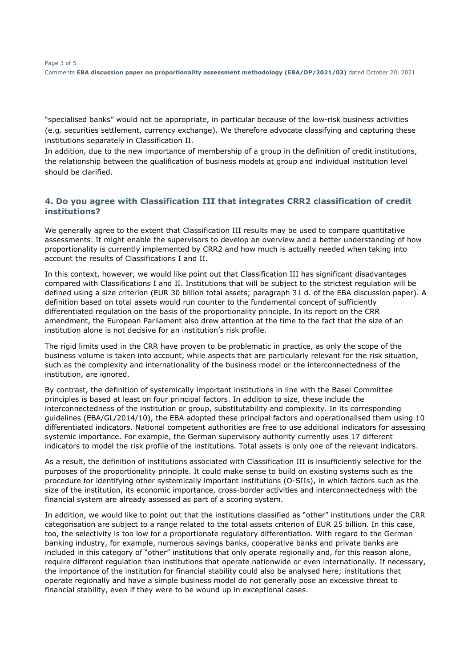"specialised banks" would not be appropriate, in particular because of the low-risk business activities (e.g. securities settlement, currency exchange). We therefore advocate classifying and capturing these institutions separately in Classification II.

In addition, due to the new importance of membership of a group in the definition of credit institutions, the relationship between the qualification of business models at group and individual institution level should be clarified.

## **4. Do you agree with Classification III that integrates CRR2 classification of credit institutions?**

We generally agree to the extent that Classification III results may be used to compare quantitative assessments. It might enable the supervisors to develop an overview and a better understanding of how proportionality is currently implemented by CRR2 and how much is actually needed when taking into account the results of Classifications I and II.

In this context, however, we would like point out that Classification III has significant disadvantages compared with Classifications I and II. Institutions that will be subject to the strictest regulation will be defined using a size criterion (EUR 30 billion total assets; paragraph 31 d. of the EBA discussion paper). A definition based on total assets would run counter to the fundamental concept of sufficiently differentiated regulation on the basis of the proportionality principle. In its report on the CRR amendment, the European Parliament also drew attention at the time to the fact that the size of an institution alone is not decisive for an institution's risk profile.

The rigid limits used in the CRR have proven to be problematic in practice, as only the scope of the business volume is taken into account, while aspects that are particularly relevant for the risk situation, such as the complexity and internationality of the business model or the interconnectedness of the institution, are ignored.

By contrast, the definition of systemically important institutions in line with the Basel Committee principles is based at least on four principal factors. In addition to size, these include the interconnectedness of the institution or group, substitutability and complexity. In its corresponding guidelines (EBA/GL/2014/10), the EBA adopted these principal factors and operationalised them using 10 differentiated indicators. National competent authorities are free to use additional indicators for assessing systemic importance. For example, the German supervisory authority currently uses 17 different indicators to model the risk profile of the institutions. Total assets is only one of the relevant indicators.

As a result, the definition of institutions associated with Classification III is insufficiently selective for the purposes of the proportionality principle. It could make sense to build on existing systems such as the procedure for identifying other systemically important institutions (O-SIIs), in which factors such as the size of the institution, its economic importance, cross-border activities and interconnectedness with the financial system are already assessed as part of a scoring system.

In addition, we would like to point out that the institutions classified as "other" institutions under the CRR categorisation are subject to a range related to the total assets criterion of EUR 25 billion. In this case, too, the selectivity is too low for a proportionate regulatory differentiation. With regard to the German banking industry, for example, numerous savings banks, cooperative banks and private banks are included in this category of "other" institutions that only operate regionally and, for this reason alone, require different regulation than institutions that operate nationwide or even internationally. If necessary, the importance of the institution for financial stability could also be analysed here; institutions that operate regionally and have a simple business model do not generally pose an excessive threat to financial stability, even if they were to be wound up in exceptional cases.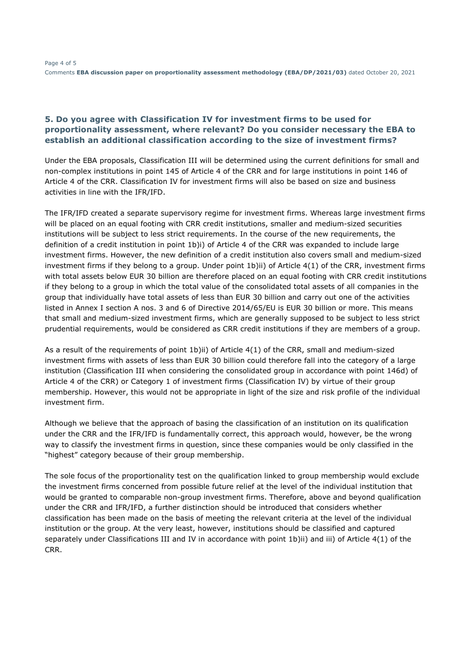### **5. Do you agree with Classification IV for investment firms to be used for proportionality assessment, where relevant? Do you consider necessary the EBA to establish an additional classification according to the size of investment firms?**

Under the EBA proposals, Classification III will be determined using the current definitions for small and non-complex institutions in point 145 of Article 4 of the CRR and for large institutions in point 146 of Article 4 of the CRR. Classification IV for investment firms will also be based on size and business activities in line with the IFR/IFD.

The IFR/IFD created a separate supervisory regime for investment firms. Whereas large investment firms will be placed on an equal footing with CRR credit institutions, smaller and medium-sized securities institutions will be subject to less strict requirements. In the course of the new requirements, the definition of a credit institution in point 1b)i) of Article 4 of the CRR was expanded to include large investment firms. However, the new definition of a credit institution also covers small and medium-sized investment firms if they belong to a group. Under point 1b)ii) of Article 4(1) of the CRR, investment firms with total assets below EUR 30 billion are therefore placed on an equal footing with CRR credit institutions if they belong to a group in which the total value of the consolidated total assets of all companies in the group that individually have total assets of less than EUR 30 billion and carry out one of the activities listed in Annex I section A nos. 3 and 6 of Directive 2014/65/EU is EUR 30 billion or more. This means that small and medium-sized investment firms, which are generally supposed to be subject to less strict prudential requirements, would be considered as CRR credit institutions if they are members of a group.

As a result of the requirements of point 1b)ii) of Article 4(1) of the CRR, small and medium-sized investment firms with assets of less than EUR 30 billion could therefore fall into the category of a large institution (Classification III when considering the consolidated group in accordance with point 146d) of Article 4 of the CRR) or Category 1 of investment firms (Classification IV) by virtue of their group membership. However, this would not be appropriate in light of the size and risk profile of the individual investment firm.

Although we believe that the approach of basing the classification of an institution on its qualification under the CRR and the IFR/IFD is fundamentally correct, this approach would, however, be the wrong way to classify the investment firms in question, since these companies would be only classified in the "highest" category because of their group membership.

The sole focus of the proportionality test on the qualification linked to group membership would exclude the investment firms concerned from possible future relief at the level of the individual institution that would be granted to comparable non-group investment firms. Therefore, above and beyond qualification under the CRR and IFR/IFD, a further distinction should be introduced that considers whether classification has been made on the basis of meeting the relevant criteria at the level of the individual institution or the group. At the very least, however, institutions should be classified and captured separately under Classifications III and IV in accordance with point 1b)ii) and iii) of Article 4(1) of the CRR.